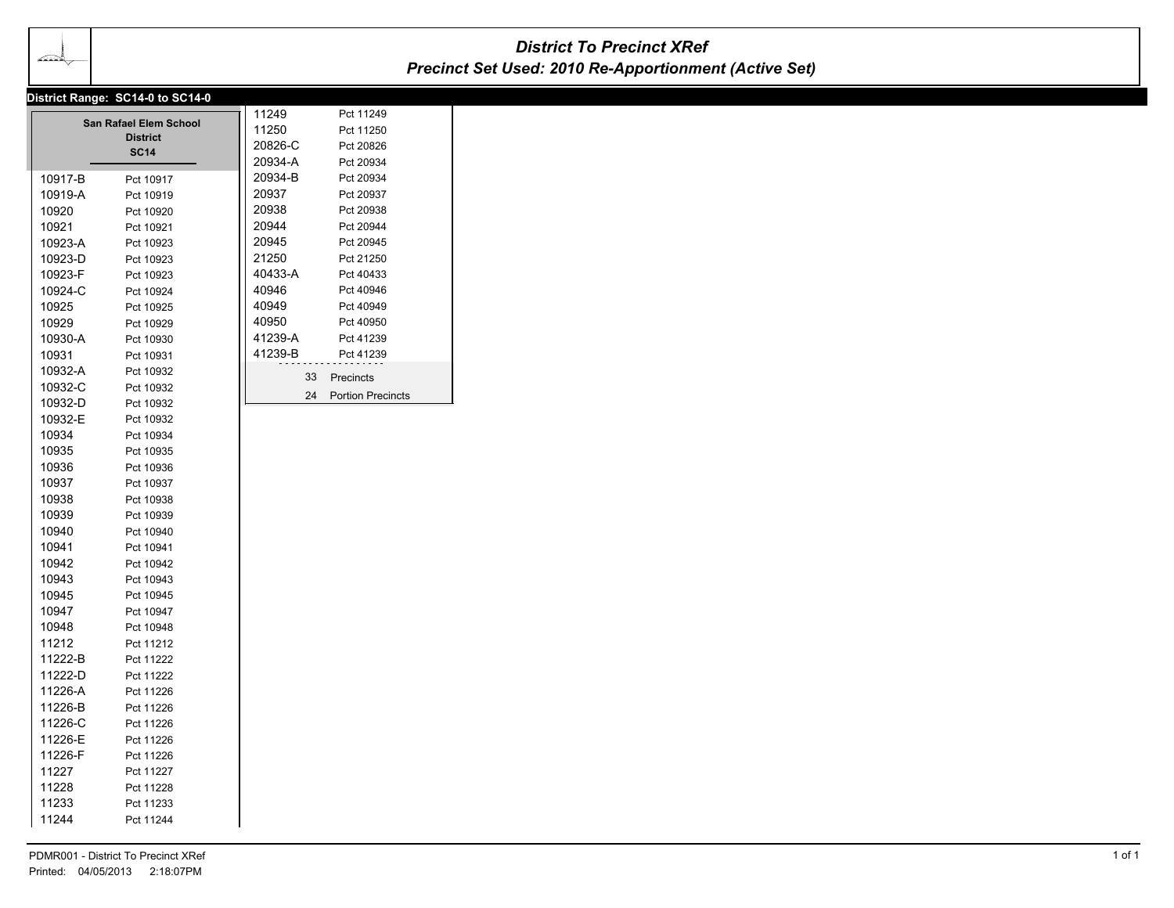᠇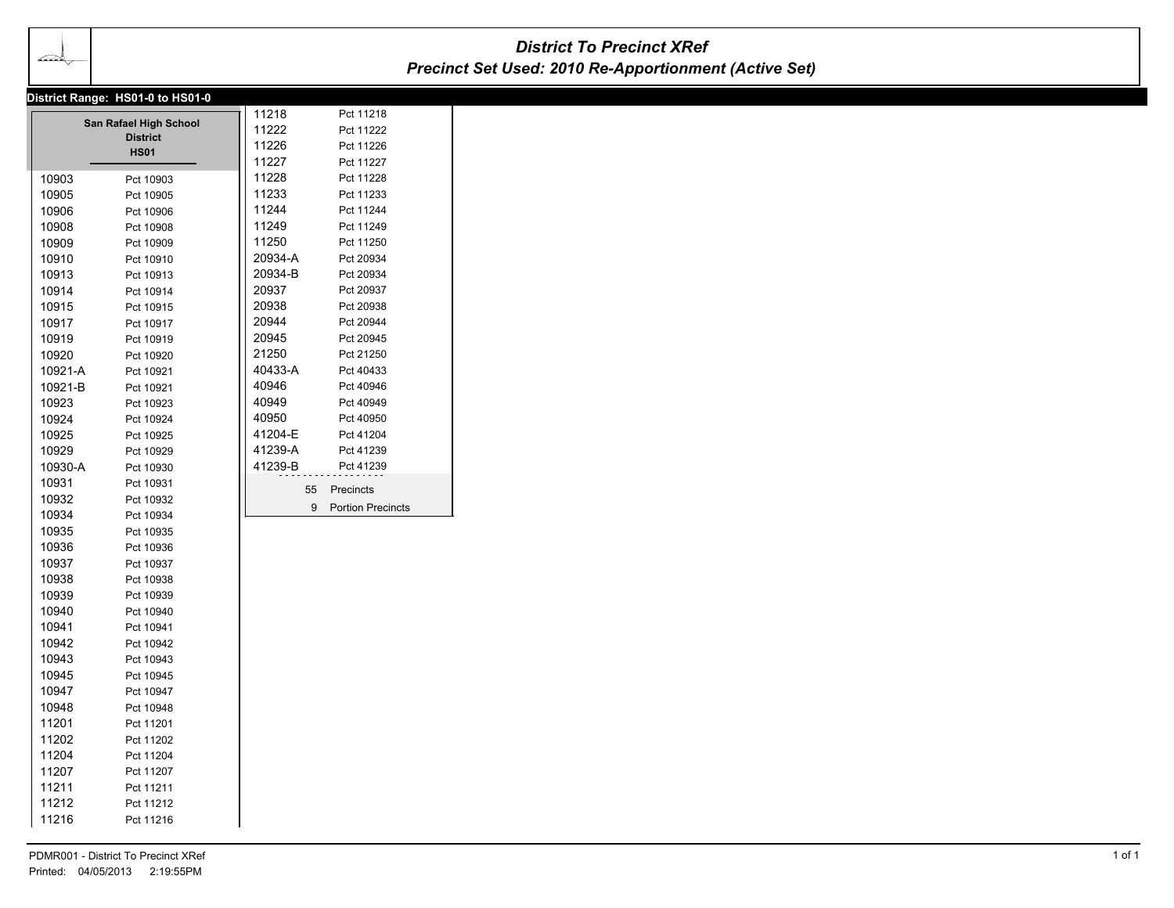| District Range: HS01-0 to HS01-0<br>11218<br>Pct 11218<br>San Rafael High School<br>11222<br>Pct 11222<br><b>District</b><br>11226<br>Pct 11226<br><b>HS01</b><br>11227<br>Pct 11227<br>11228<br>Pct 11228<br>10903<br>Pct 10903<br>11233<br>Pct 11233<br>10905<br>Pct 10905<br>11244<br>Pct 11244<br>10906<br>Pct 10906<br>11249<br>Pct 11249<br>10908<br>Pct 10908<br>11250<br>Pct 11250<br>10909<br>Pct 10909<br>20934-A<br>Pct 20934<br>10910<br>Pct 10910<br>20934-B<br>Pct 20934<br>10913<br>Pct 10913<br>20937<br>Pct 20937<br>10914<br>Pct 10914<br>20938<br>Pct 20938<br>10915<br>Pct 10915<br>20944<br>10917<br>Pct 20944<br>Pct 10917<br>20945<br>Pct 20945<br>10919<br>Pct 10919<br>21250<br>Pct 21250<br>10920<br>Pct 10920<br>40433-A<br>10921-A<br>Pct 40433<br>Pct 10921<br>40946<br>Pct 40946<br>10921-B<br>Pct 10921<br>40949<br>Pct 40949<br>10923<br>Pct 10923<br>40950<br>Pct 40950<br>10924<br>Pct 10924<br>41204-E<br>Pct 41204<br>10925<br>Pct 10925<br>41239-A<br>10929<br>Pct 41239<br>Pct 10929<br>41239-B<br>10930-A<br>Pct 41239<br>Pct 10930<br>10931<br>Pct 10931<br>55 Precincts<br>10932<br>Pct 10932<br>9 Portion Precincts<br>10934<br>Pct 10934<br>10935<br>Pct 10935<br>10936<br>Pct 10936<br>10937<br>Pct 10937<br>10938<br>Pct 10938<br>10939<br>Pct 10939<br>10940<br>Pct 10940<br>10941<br>Pct 10941<br>10942<br>Pct 10942<br>10943<br>Pct 10943<br>10945<br>Pct 10945<br>10947<br>Pct 10947<br>10948<br>Pct 10948<br>11201<br>Pct 11201<br>11202<br>Pct 11202<br>11204<br>Pct 11204<br>11207<br>Pct 11207<br>11211<br>Pct 11211 | $\overline{\longrightarrow}$ |           | <b>District To Precinct XRef</b><br><b>Precinct Set Used: 2010 Re-Apportionment (Active Set)</b> |  |
|---------------------------------------------------------------------------------------------------------------------------------------------------------------------------------------------------------------------------------------------------------------------------------------------------------------------------------------------------------------------------------------------------------------------------------------------------------------------------------------------------------------------------------------------------------------------------------------------------------------------------------------------------------------------------------------------------------------------------------------------------------------------------------------------------------------------------------------------------------------------------------------------------------------------------------------------------------------------------------------------------------------------------------------------------------------------------------------------------------------------------------------------------------------------------------------------------------------------------------------------------------------------------------------------------------------------------------------------------------------------------------------------------------------------------------------------------------------------------------------------------------------------------------------------------------------------------|------------------------------|-----------|--------------------------------------------------------------------------------------------------|--|
|                                                                                                                                                                                                                                                                                                                                                                                                                                                                                                                                                                                                                                                                                                                                                                                                                                                                                                                                                                                                                                                                                                                                                                                                                                                                                                                                                                                                                                                                                                                                                                           |                              |           |                                                                                                  |  |
|                                                                                                                                                                                                                                                                                                                                                                                                                                                                                                                                                                                                                                                                                                                                                                                                                                                                                                                                                                                                                                                                                                                                                                                                                                                                                                                                                                                                                                                                                                                                                                           |                              |           |                                                                                                  |  |
|                                                                                                                                                                                                                                                                                                                                                                                                                                                                                                                                                                                                                                                                                                                                                                                                                                                                                                                                                                                                                                                                                                                                                                                                                                                                                                                                                                                                                                                                                                                                                                           |                              |           |                                                                                                  |  |
|                                                                                                                                                                                                                                                                                                                                                                                                                                                                                                                                                                                                                                                                                                                                                                                                                                                                                                                                                                                                                                                                                                                                                                                                                                                                                                                                                                                                                                                                                                                                                                           |                              |           |                                                                                                  |  |
|                                                                                                                                                                                                                                                                                                                                                                                                                                                                                                                                                                                                                                                                                                                                                                                                                                                                                                                                                                                                                                                                                                                                                                                                                                                                                                                                                                                                                                                                                                                                                                           |                              |           |                                                                                                  |  |
|                                                                                                                                                                                                                                                                                                                                                                                                                                                                                                                                                                                                                                                                                                                                                                                                                                                                                                                                                                                                                                                                                                                                                                                                                                                                                                                                                                                                                                                                                                                                                                           |                              |           |                                                                                                  |  |
|                                                                                                                                                                                                                                                                                                                                                                                                                                                                                                                                                                                                                                                                                                                                                                                                                                                                                                                                                                                                                                                                                                                                                                                                                                                                                                                                                                                                                                                                                                                                                                           |                              |           |                                                                                                  |  |
|                                                                                                                                                                                                                                                                                                                                                                                                                                                                                                                                                                                                                                                                                                                                                                                                                                                                                                                                                                                                                                                                                                                                                                                                                                                                                                                                                                                                                                                                                                                                                                           |                              |           |                                                                                                  |  |
|                                                                                                                                                                                                                                                                                                                                                                                                                                                                                                                                                                                                                                                                                                                                                                                                                                                                                                                                                                                                                                                                                                                                                                                                                                                                                                                                                                                                                                                                                                                                                                           |                              |           |                                                                                                  |  |
|                                                                                                                                                                                                                                                                                                                                                                                                                                                                                                                                                                                                                                                                                                                                                                                                                                                                                                                                                                                                                                                                                                                                                                                                                                                                                                                                                                                                                                                                                                                                                                           |                              |           |                                                                                                  |  |
|                                                                                                                                                                                                                                                                                                                                                                                                                                                                                                                                                                                                                                                                                                                                                                                                                                                                                                                                                                                                                                                                                                                                                                                                                                                                                                                                                                                                                                                                                                                                                                           |                              |           |                                                                                                  |  |
|                                                                                                                                                                                                                                                                                                                                                                                                                                                                                                                                                                                                                                                                                                                                                                                                                                                                                                                                                                                                                                                                                                                                                                                                                                                                                                                                                                                                                                                                                                                                                                           |                              |           |                                                                                                  |  |
|                                                                                                                                                                                                                                                                                                                                                                                                                                                                                                                                                                                                                                                                                                                                                                                                                                                                                                                                                                                                                                                                                                                                                                                                                                                                                                                                                                                                                                                                                                                                                                           |                              |           |                                                                                                  |  |
|                                                                                                                                                                                                                                                                                                                                                                                                                                                                                                                                                                                                                                                                                                                                                                                                                                                                                                                                                                                                                                                                                                                                                                                                                                                                                                                                                                                                                                                                                                                                                                           |                              |           |                                                                                                  |  |
| 11216<br>Pct 11216                                                                                                                                                                                                                                                                                                                                                                                                                                                                                                                                                                                                                                                                                                                                                                                                                                                                                                                                                                                                                                                                                                                                                                                                                                                                                                                                                                                                                                                                                                                                                        | 11212                        | Pct 11212 |                                                                                                  |  |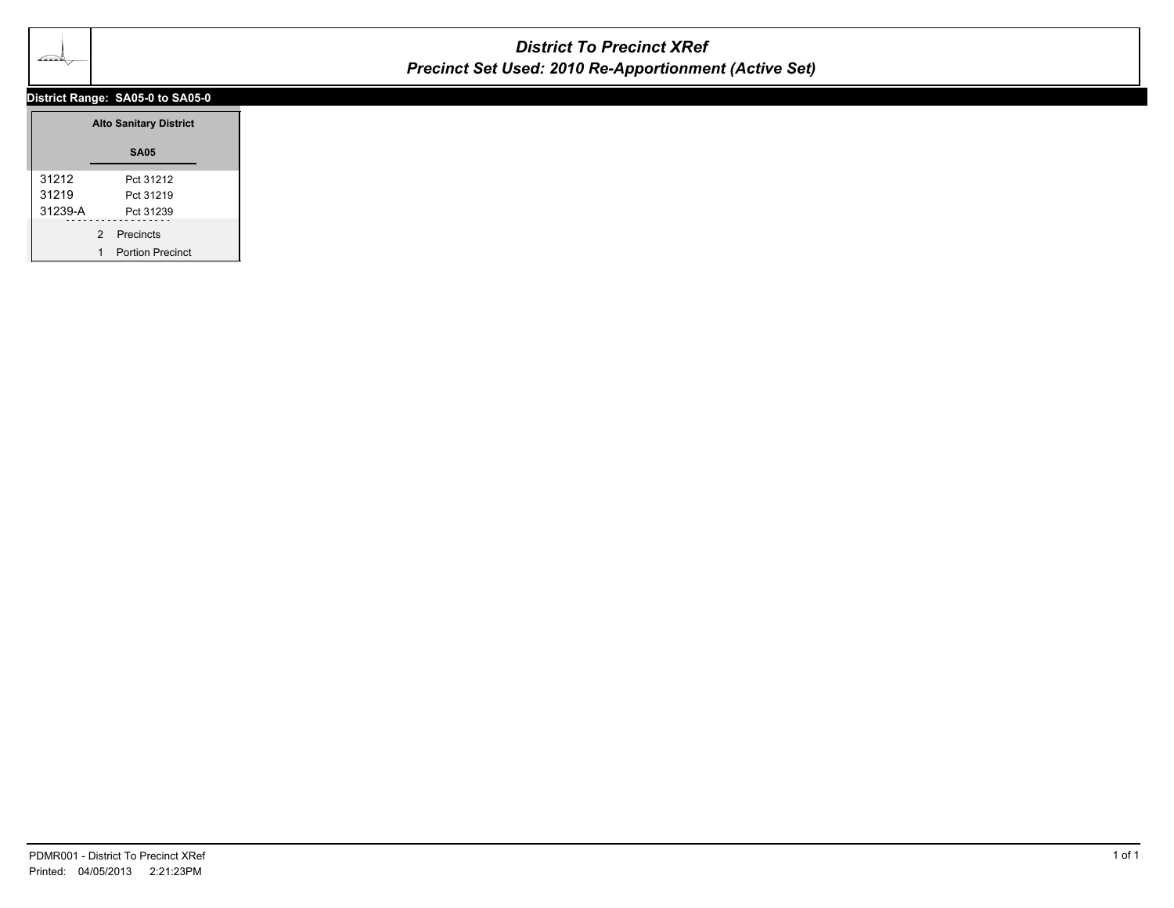

# *District To Precinct XRef Precinct Set Used: 2010 Re-Apportionment (Active Set)*

### **District Range: SA05-0 to SA05-0**

|         |   | <b>Alto Sanitary District</b> |
|---------|---|-------------------------------|
|         |   | <b>SA05</b>                   |
| 31212   |   | Pct 31212                     |
| 31219   |   | Pct 31219                     |
| 31239-A |   | Pct 31239                     |
|         | 2 | Precincts                     |
|         |   | Portion Precinct              |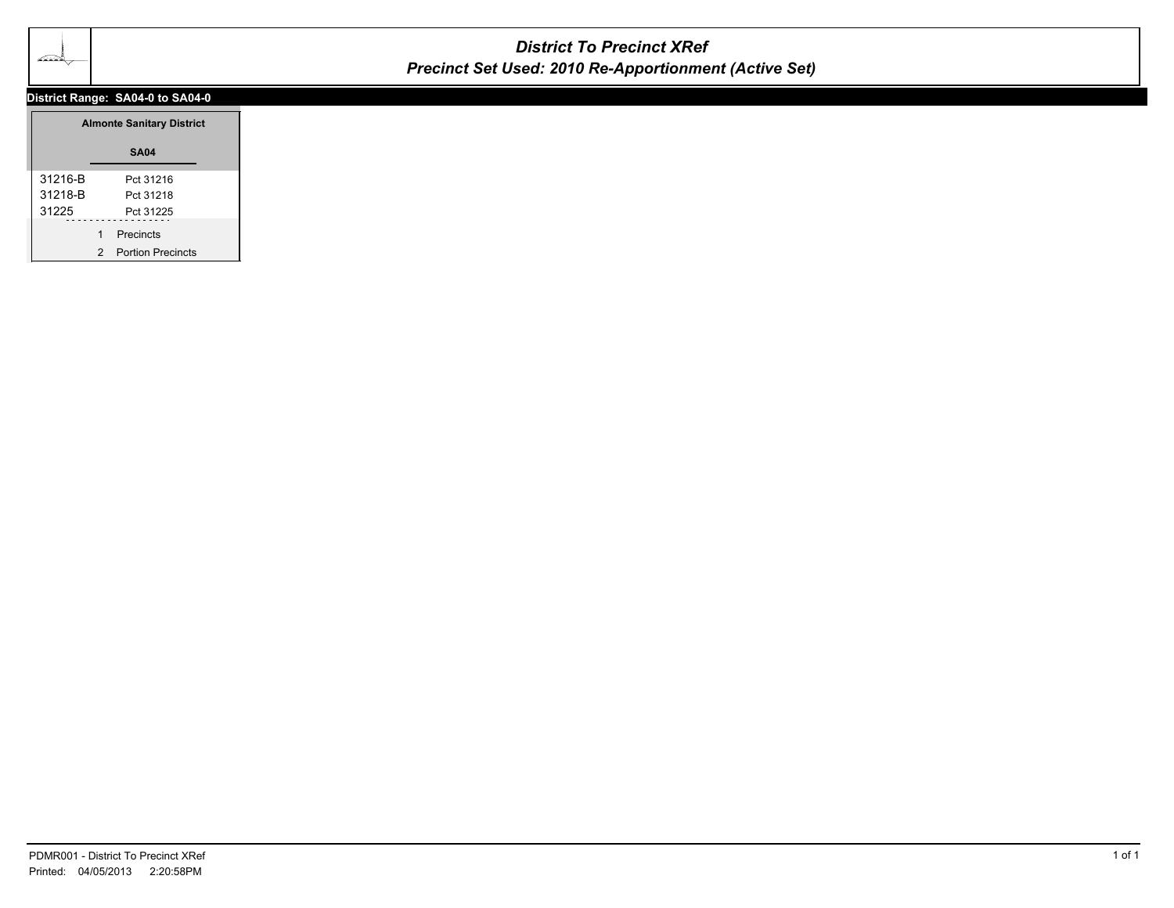

# *District To Precinct XRef Precinct Set Used: 2010 Re-Apportionment (Active Set)*

### **District Range: SA04-0 to SA04-0**

|         | <b>Almonte Sanitary District</b> |                          |  |
|---------|----------------------------------|--------------------------|--|
|         |                                  | <b>SA04</b>              |  |
| 31216-B |                                  | Pct 31216                |  |
| 31218-B |                                  | Pct 31218                |  |
| 31225   |                                  | Pct 31225                |  |
|         | 1                                | Precincts                |  |
|         | 2                                | <b>Portion Precincts</b> |  |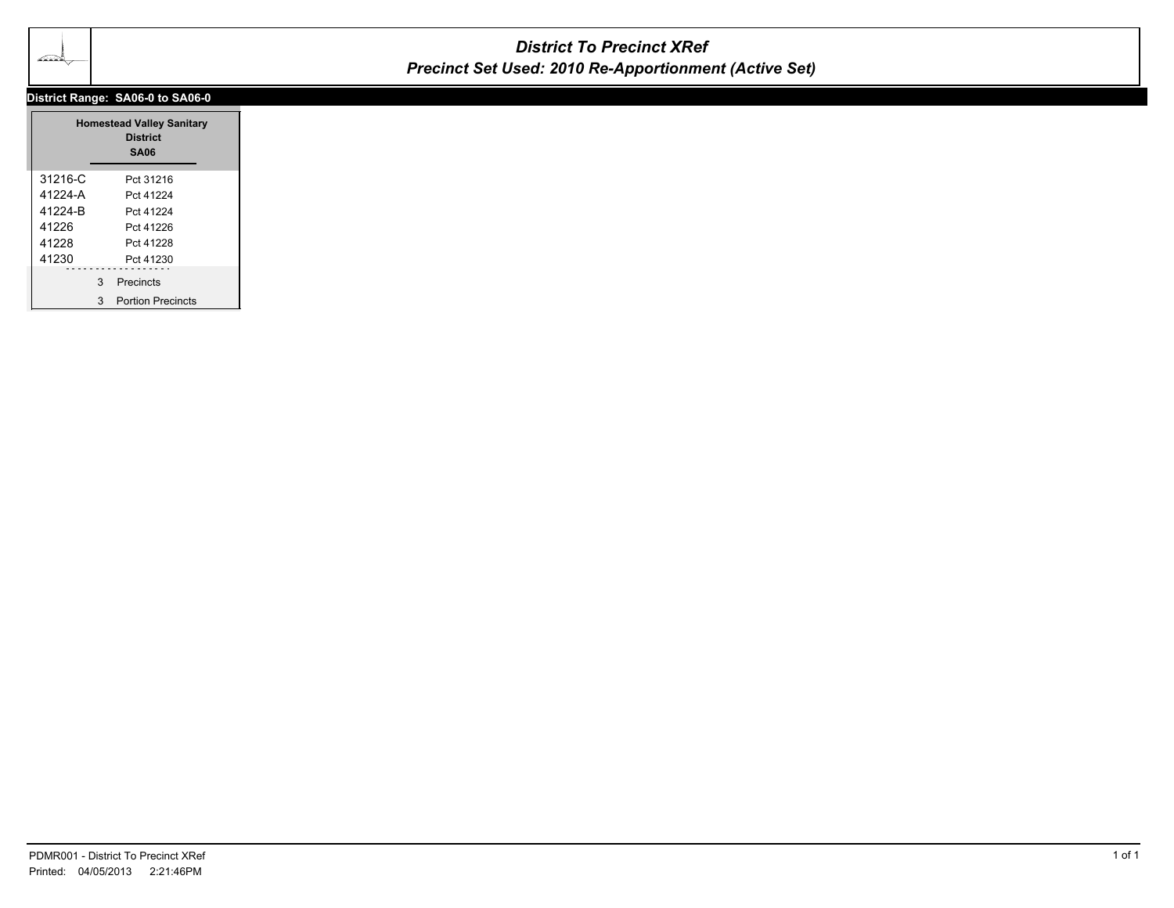

## *District To Precinct XRef Precinct Set Used: 2010 Re-Apportionment (Active Set)*

### **District Range: SA06-0 to SA06-0**

|             |   | <b>Homestead Valley Sanitary</b><br><b>District</b><br><b>SA06</b> |  |
|-------------|---|--------------------------------------------------------------------|--|
| $31216 - C$ |   | Pct 31216                                                          |  |
| 41224-A     |   | Pct 41224                                                          |  |
| 41224-R     |   | Pct 41224                                                          |  |
| 41226       |   | Pct 41226                                                          |  |
| 41228       |   | Pct 41228                                                          |  |
| 41230       |   | Pct 41230                                                          |  |
|             | 3 | Precincts                                                          |  |
|             | 3 | <b>Portion Precincts</b>                                           |  |